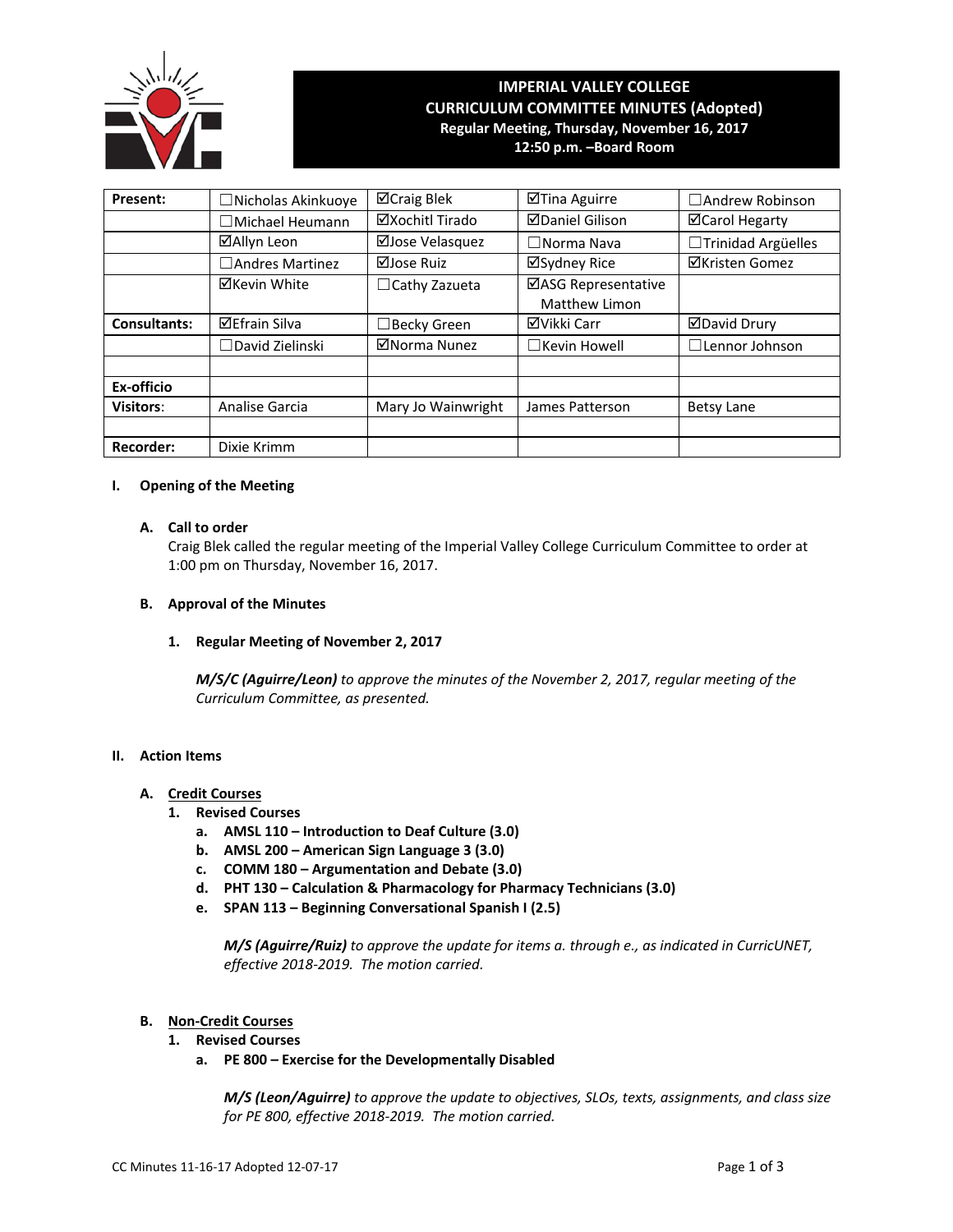

# **IMPERIAL VALLEY COLLEGE CURRICULUM COMMITTEE MINUTES (Adopted) Regular Meeting, Thursday, November 16, 2017**

**12:50 p.m. –Board Room**

| Present:            | □ Nicholas Akinkuoye   | ⊠Craig Blek          | ⊠Tina Aguirre                        | □ Andrew Robinson     |
|---------------------|------------------------|----------------------|--------------------------------------|-----------------------|
|                     | $\Box$ Michael Heumann | ⊠Xochitl Tirado      | <b>ØDaniel Gilison</b>               | ⊠Carol Hegarty        |
|                     | ⊠Allyn Leon            | ⊠Jose Velasquez      | $\Box$ Norma Nava                    | □Trinidad Argüelles   |
|                     | □ Andres Martinez      | ⊠Jose Ruiz           | ⊠Sydney Rice                         | <b>⊠Kristen Gomez</b> |
|                     | <b>⊠Kevin White</b>    | $\Box$ Cathy Zazueta | ⊠ASG Representative<br>Matthew Limon |                       |
| <b>Consultants:</b> | <b>⊠Efrain Silva</b>   | $\Box$ Becky Green   | ⊠Vikki Carr                          | <b>ØDavid Drury</b>   |
|                     | $\Box$ David Zielinski | ⊠Norma Nunez         | $\Box$ Kevin Howell                  | $\Box$ Lennor Johnson |
|                     |                        |                      |                                      |                       |
| Ex-officio          |                        |                      |                                      |                       |
| <b>Visitors:</b>    | Analise Garcia         | Mary Jo Wainwright   | James Patterson                      | <b>Betsy Lane</b>     |
|                     |                        |                      |                                      |                       |
| <b>Recorder:</b>    | Dixie Krimm            |                      |                                      |                       |

# **I. Opening of the Meeting**

#### **A. Call to order**

Craig Blek called the regular meeting of the Imperial Valley College Curriculum Committee to order at 1:00 pm on Thursday, November 16, 2017.

#### **B. Approval of the Minutes**

**1. Regular Meeting of November 2, 2017**

*M/S/C (Aguirre/Leon) to approve the minutes of the November 2, 2017, regular meeting of the Curriculum Committee, as presented.* 

#### **II. Action Items**

## **A. Credit Courses**

- **1. Revised Courses**
	- **a. AMSL 110 – Introduction to Deaf Culture (3.0)**
	- **b. AMSL 200 – American Sign Language 3 (3.0)**
	- **c. COMM 180 – Argumentation and Debate (3.0)**
	- **d. PHT 130 – Calculation & Pharmacology for Pharmacy Technicians (3.0)**
	- **e. SPAN 113 – Beginning Conversational Spanish I (2.5)**

*M/S (Aguirre/Ruiz) to approve the update for items a. through e., as indicated in CurricUNET, effective 2018-2019. The motion carried.*

#### **B. Non-Credit Courses**

- **1. Revised Courses**
	- **a. PE 800 – Exercise for the Developmentally Disabled**

*M/S (Leon/Aguirre) to approve the update to objectives, SLOs, texts, assignments, and class size for PE 800, effective 2018-2019. The motion carried.*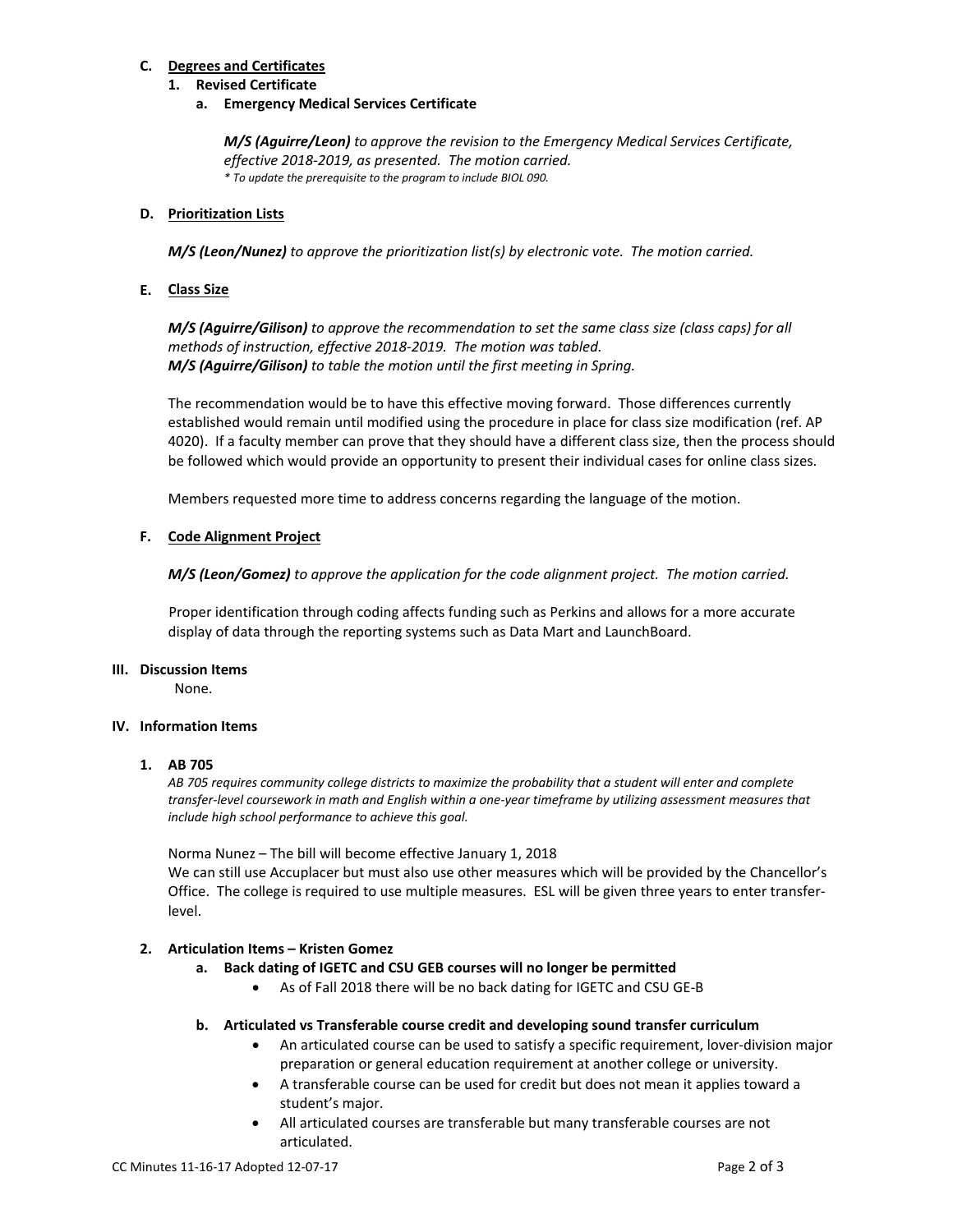# **C. Degrees and Certificates**

## **1. Revised Certificate**

**a. Emergency Medical Services Certificate**

*M/S (Aguirre/Leon) to approve the revision to the Emergency Medical Services Certificate, effective 2018-2019, as presented. The motion carried. \* To update the prerequisite to the program to include BIOL 090.*

## **D. Prioritization Lists**

*M/S (Leon/Nunez) to approve the prioritization list(s) by electronic vote. The motion carried.*

# **E. Class Size**

*M/S (Aguirre/Gilison) to approve the recommendation to set the same class size (class caps) for all methods of instruction, effective 2018-2019. The motion was tabled. M/S (Aguirre/Gilison) to table the motion until the first meeting in Spring.*

The recommendation would be to have this effective moving forward. Those differences currently established would remain until modified using the procedure in place for class size modification (ref. AP 4020). If a faculty member can prove that they should have a different class size, then the process should be followed which would provide an opportunity to present their individual cases for online class sizes.

Members requested more time to address concerns regarding the language of the motion.

## **F. Code Alignment Project**

*M/S (Leon/Gomez) to approve the application for the code alignment project. The motion carried.*

Proper identification through coding affects funding such as Perkins and allows for a more accurate display of data through the reporting systems such as Data Mart and LaunchBoard.

#### **III. Discussion Items**

None.

#### **IV. Information Items**

#### **1. AB 705**

*AB 705 requires community college districts to maximize the probability that a student will enter and complete transfer-level coursework in math and English within a one-year timeframe by utilizing assessment measures that include high school performance to achieve this goal.*

Norma Nunez – The bill will become effective January 1, 2018

We can still use Accuplacer but must also use other measures which will be provided by the Chancellor's Office. The college is required to use multiple measures. ESL will be given three years to enter transferlevel.

# **2. Articulation Items – Kristen Gomez**

- **a. Back dating of IGETC and CSU GEB courses will no longer be permitted**
	- As of Fall 2018 there will be no back dating for IGETC and CSU GE-B

#### **b. Articulated vs Transferable course credit and developing sound transfer curriculum**

- An articulated course can be used to satisfy a specific requirement, lover-division major preparation or general education requirement at another college or university.
- A transferable course can be used for credit but does not mean it applies toward a student's major.
- All articulated courses are transferable but many transferable courses are not articulated.